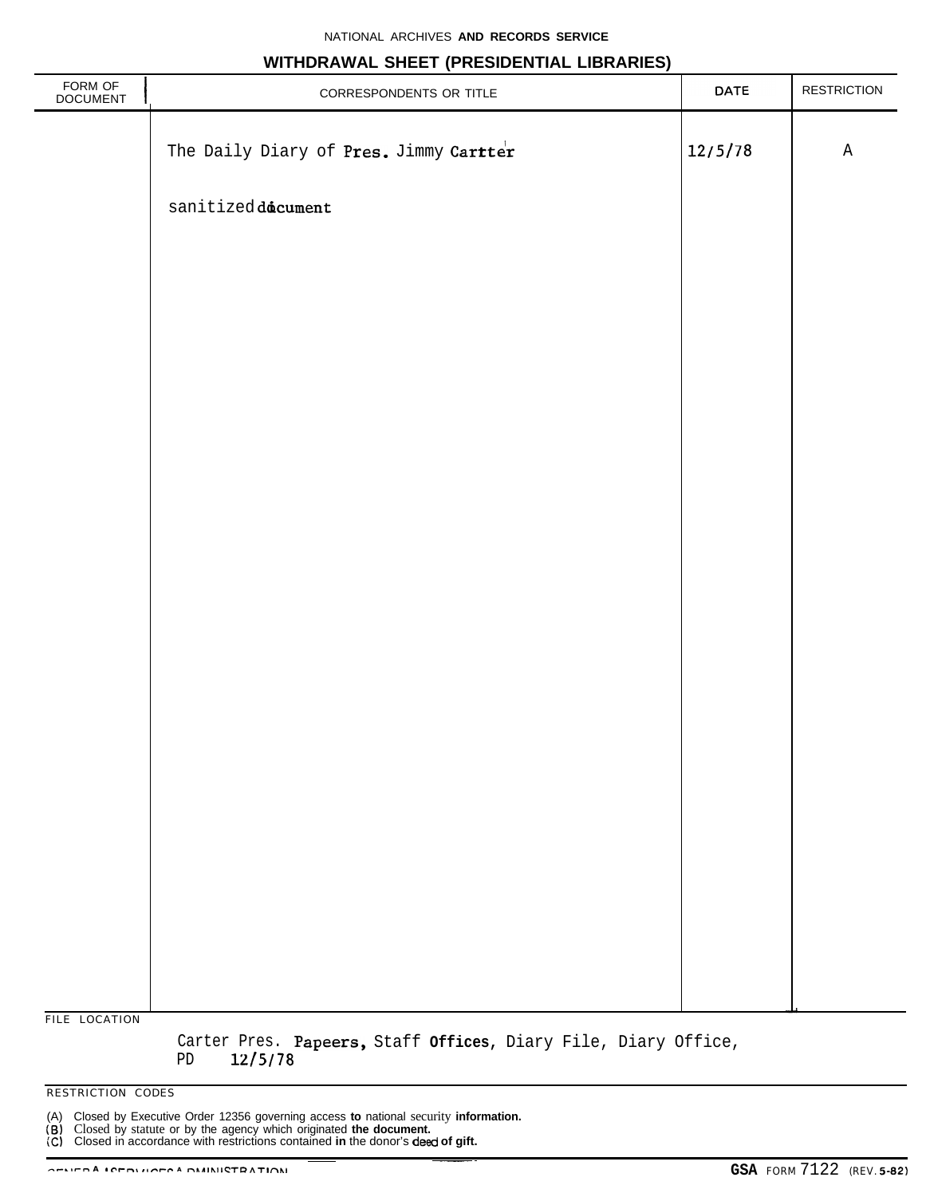#### **WITHDRAWAL SHEET (PRESIDENTIAL LIBRARIES)**

| FORM OF<br>DOCUMENT | CORRESPONDENTS OR TITLE                             | DATE    | <b>RESTRICTION</b> |
|---------------------|-----------------------------------------------------|---------|--------------------|
|                     | The Daily Diary of Pres. Jimmy Cartter              | 12/5/78 | $\mathtt{A}$       |
|                     | $\texttt{sanitized}$ $\texttt{d\text{\'{a}cument}}$ |         |                    |
|                     |                                                     |         |                    |
|                     |                                                     |         |                    |
|                     |                                                     |         |                    |
|                     |                                                     |         |                    |
|                     |                                                     |         |                    |
|                     |                                                     |         |                    |
|                     |                                                     |         |                    |
|                     |                                                     |         |                    |
|                     |                                                     |         |                    |
|                     |                                                     |         |                    |
|                     |                                                     |         |                    |
|                     |                                                     |         |                    |
| FILE LOCATION       |                                                     |         |                    |

Carter Pres. Papeers, Staff **Offices,** Diary File, Diary Office,

PD **U/5/78**

RESTRICTION CODES

(A) Closed by Executive Order 12356 governing access **to** national security **information.**

(6) Closed by statute or by the agency which originated **the document.**<br>  $\overline{C}$  Closed in accordance with restrictions contained **in** the donor's **deed of gift.**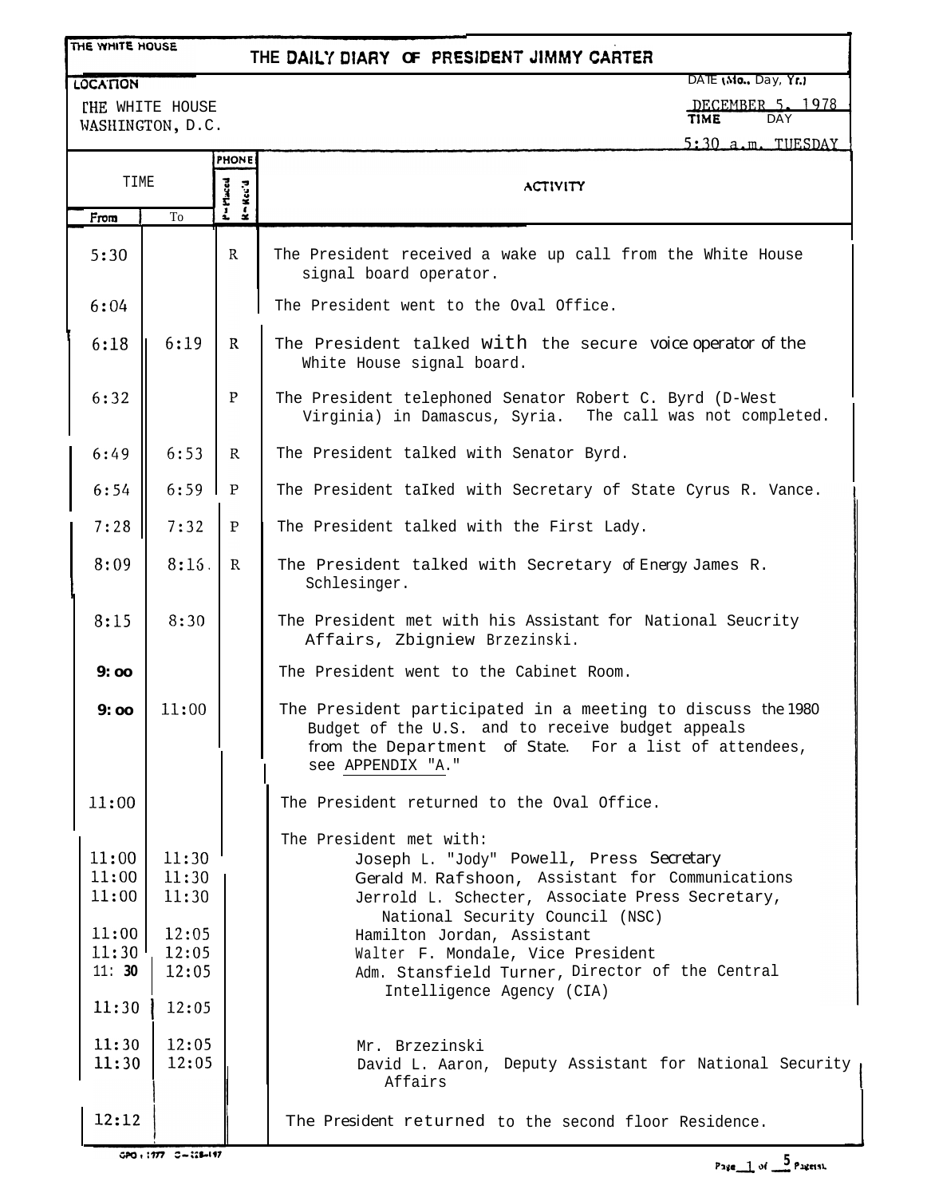## THE WHITE HOUSE

**LOCATION** 

# **THE DAW DlARY OF PREWENT JlMMY CARTER**

DATE (Mo., Day, Yr.)

rHE WHITE HOUSE WASHINGTON, D.C. <u>1978</u>

TIME DAY

 $5:30$  a.m. TUESDAY

|                                                    |                                                    | <b>PHONE</b>             |                                                                                                                                                                                                                                                                                                                                                                  |
|----------------------------------------------------|----------------------------------------------------|--------------------------|------------------------------------------------------------------------------------------------------------------------------------------------------------------------------------------------------------------------------------------------------------------------------------------------------------------------------------------------------------------|
| TIME                                               |                                                    | P=Macd<br>$H = H.c.c'.d$ | <b>ACTIVITY</b>                                                                                                                                                                                                                                                                                                                                                  |
| From                                               | To                                                 |                          |                                                                                                                                                                                                                                                                                                                                                                  |
| 5:30                                               |                                                    | $\mathbf{R}$             | The President received a wake up call from the White House<br>signal board operator.                                                                                                                                                                                                                                                                             |
| 6:04                                               |                                                    |                          | The President went to the Oval Office.                                                                                                                                                                                                                                                                                                                           |
| 6:18                                               | 6:19                                               | $\mathbf{R}$             | The President talked with the secure voice operator of the<br>White House signal board.                                                                                                                                                                                                                                                                          |
| 6:32                                               |                                                    | P                        | The President telephoned Senator Robert C. Byrd (D-West<br>Virginia) in Damascus, Syria. The call was not completed.                                                                                                                                                                                                                                             |
| 6:49                                               | 6:53                                               | R.                       | The President talked with Senator Byrd.                                                                                                                                                                                                                                                                                                                          |
| 6:54                                               | 6:59                                               | $\mathbf{P}$             | The President talked with Secretary of State Cyrus R. Vance.                                                                                                                                                                                                                                                                                                     |
| 7:28                                               | 7:32                                               | $\mathbf P$              | The President talked with the First Lady.                                                                                                                                                                                                                                                                                                                        |
| 8:09                                               | 8:15.                                              | $\mathbb{R}$             | The President talked with Secretary of Energy James R.<br>Schlesinger.                                                                                                                                                                                                                                                                                           |
| 8:15                                               | 8:30                                               |                          | The President met with his Assistant for National Seucrity<br>Affairs, Zbigniew Brzezinski.                                                                                                                                                                                                                                                                      |
| 9:00                                               |                                                    |                          | The President went to the Cabinet Room.                                                                                                                                                                                                                                                                                                                          |
| 9:00                                               | 11:00                                              |                          | The President participated in a meeting to discuss the 1980<br>Budget of the U.S. and to receive budget appeals<br>from the Department of State. For a list of attendees,<br>see APPENDIX "A."                                                                                                                                                                   |
| 11:00                                              |                                                    |                          | The President returned to the Oval Office.                                                                                                                                                                                                                                                                                                                       |
| 11:00<br>11:00<br>11:00<br>11:00<br>11:30<br>11:30 | 11:30<br>11:30<br>11:30<br>12:05<br>12:05<br>12:05 |                          | The President met with:<br>Joseph L. "Jody" Powell, Press Secretary<br>Gerald M. Rafshoon, Assistant for Communications<br>Jerrold L. Schecter, Associate Press Secretary,<br>National Security Council (NSC)<br>Hamilton Jordan, Assistant<br>Walter F. Mondale, Vice President<br>Adm. Stansfield Turner, Director of the Central<br>Intelligence Agency (CIA) |
| 11:30                                              | 12:05                                              |                          |                                                                                                                                                                                                                                                                                                                                                                  |
| 11:30<br>11:30                                     | 12:05<br>12:05                                     |                          | Mr. Brzezinski<br>David L. Aaron, Deputy Assistant for National Security<br>Affairs                                                                                                                                                                                                                                                                              |
| 12:12                                              |                                                    |                          | The President returned to the second floor Residence.                                                                                                                                                                                                                                                                                                            |

GPO + 1777 C-128-197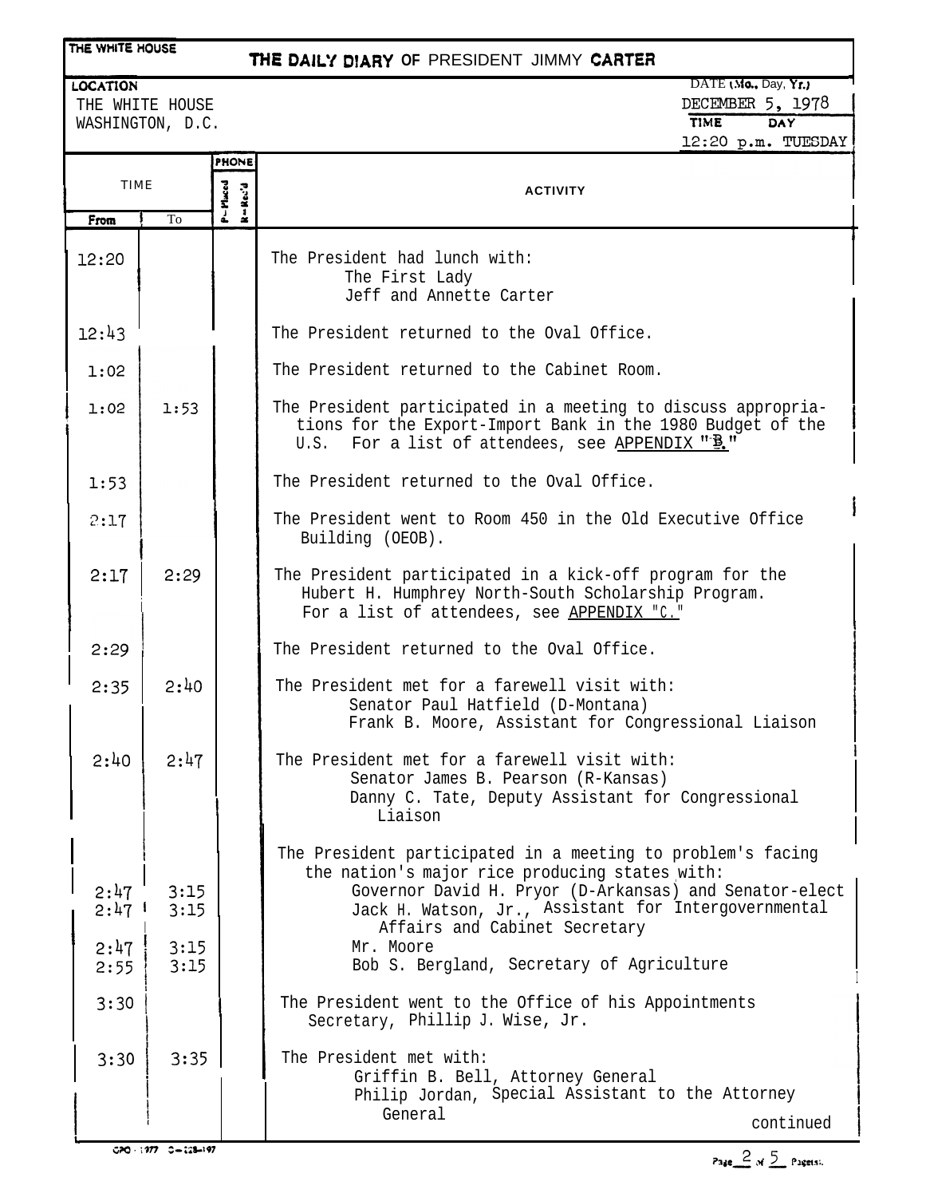#### THE WHITE HOUSE

# **THE DAILY** D!ARY **OF** PRESIDENT JIMMY **CARTEi**

LOCATION

THE WHITE HOUSE WASHINGTON, D.C.

DATE (Mo., Day, Yr.) DECEMBER 5, 1978 TIME DAY 12:20 p.m. TUESDAY

A

|                                     |                      | <b>PHONE</b>       |                                                                                                                                                                                                                                                                               |
|-------------------------------------|----------------------|--------------------|-------------------------------------------------------------------------------------------------------------------------------------------------------------------------------------------------------------------------------------------------------------------------------|
| <b>TIME</b>                         |                      | P – Maced<br>Rec'd | <b>ACTIVITY</b>                                                                                                                                                                                                                                                               |
| From                                | To                   |                    |                                                                                                                                                                                                                                                                               |
| 12:20                               |                      |                    | The President had lunch with:<br>The First Lady<br>Jeff and Annette Carter                                                                                                                                                                                                    |
| 12:43                               |                      |                    | The President returned to the Oval Office.                                                                                                                                                                                                                                    |
| 1:02                                |                      |                    | The President returned to the Cabinet Room.                                                                                                                                                                                                                                   |
| 1:02                                | 1:53                 |                    | The President participated in a meeting to discuss appropria-<br>tions for the Export-Import Bank in the 1980 Budget of the<br>U.S. For a list of attendees, see APPENDIX "B."                                                                                                |
| 1:53                                |                      |                    | The President returned to the Oval Office.                                                                                                                                                                                                                                    |
| 2:17                                |                      |                    | The President went to Room 450 in the Old Executive Office<br>Building (OEOB).                                                                                                                                                                                                |
| 2:17                                | 2:29                 |                    | The President participated in a kick-off program for the<br>Hubert H. Humphrey North-South Scholarship Program.<br>For a list of attendees, see APPENDIX "C."                                                                                                                 |
| 2:29                                |                      |                    | The President returned to the Oval Office.                                                                                                                                                                                                                                    |
| 2:35                                | 2:40                 |                    | The President met for a farewell visit with:<br>Senator Paul Hatfield (D-Montana)<br>Frank B. Moore, Assistant for Congressional Liaison                                                                                                                                      |
| 2:40                                | 2:47                 |                    | The President met for a farewell visit with:<br>Senator James B. Pearson (R-Kansas)<br>Danny C. Tate, Deputy Assistant for Congressional<br>Liaison                                                                                                                           |
| 2:47<br>$2:47$ <sup>1</sup><br>2:47 | 3:15<br>3:15<br>3:15 |                    | The President participated in a meeting to problem's facing<br>the nation's major rice producing states with:<br>Governor David H. Pryor (D-Arkansas) and Senator-elect<br>Jack H. Watson, Jr., Assistant for Intergovernmental<br>Affairs and Cabinet Secretary<br>Mr. Moore |
| 2:55                                | 3:15                 |                    | Bob S. Bergland, Secretary of Agriculture                                                                                                                                                                                                                                     |
| 3:30                                |                      |                    | The President went to the Office of his Appointments<br>Secretary, Phillip J. Wise, Jr.                                                                                                                                                                                       |
| 3:30                                | 3:35                 |                    | The President met with:<br>Griffin B. Bell, Attorney General<br>Philip Jordan, Special Assistant to the Attorney<br>General<br>continued                                                                                                                                      |

Page  $\geq$  of  $\leq$  Pagers).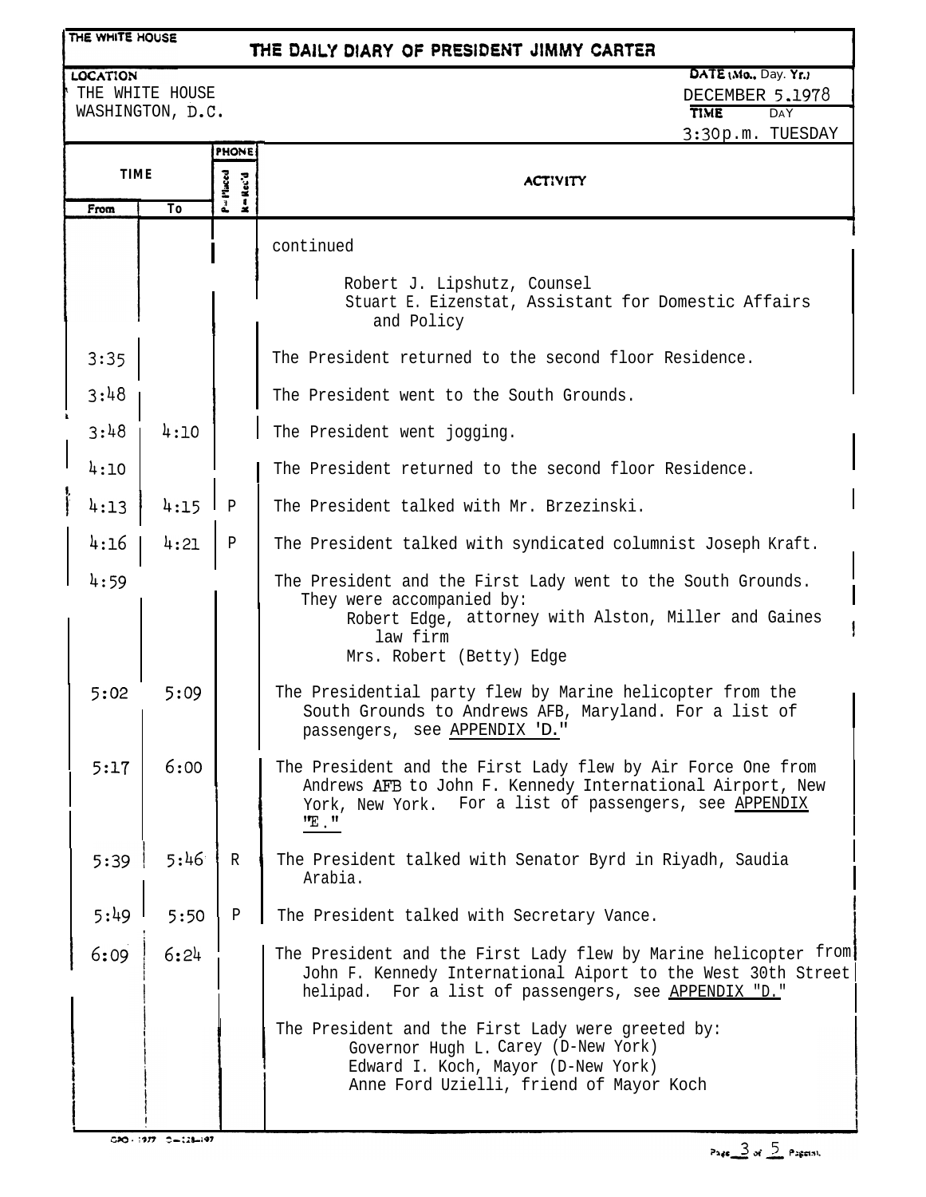| THE WHITE HOUSE<br>THE DAILY DIARY OF PRESIDENT JIMMY CARTER                                                                                       |                                                                  |              |                                                                                                                                                                                              |  |
|----------------------------------------------------------------------------------------------------------------------------------------------------|------------------------------------------------------------------|--------------|----------------------------------------------------------------------------------------------------------------------------------------------------------------------------------------------|--|
| DATE (Mo., Day. Yr.)<br><b>LOCATION</b><br>THE WHITE HOUSE<br>DECEMBER 5.1978<br>WASHINGTON, D.C.<br><b>TIME</b><br><b>DAY</b><br>3:30p.m. TUESDAY |                                                                  |              |                                                                                                                                                                                              |  |
| From                                                                                                                                               | PHONE<br><b>TIME</b><br>P=Placed<br>Rec'd<br>$\frac{1}{2}$<br>To |              | <b>ACTIVITY</b>                                                                                                                                                                              |  |
|                                                                                                                                                    |                                                                  |              | continued                                                                                                                                                                                    |  |
|                                                                                                                                                    |                                                                  |              | Robert J. Lipshutz, Counsel<br>Stuart E. Eizenstat, Assistant for Domestic Affairs<br>and Policy                                                                                             |  |
| 3:35                                                                                                                                               |                                                                  |              | The President returned to the second floor Residence.                                                                                                                                        |  |
| 3:48                                                                                                                                               |                                                                  |              | The President went to the South Grounds.                                                                                                                                                     |  |
| 3:48                                                                                                                                               | 4:10                                                             |              | The President went jogging.                                                                                                                                                                  |  |
| 4:10                                                                                                                                               |                                                                  |              | The President returned to the second floor Residence.                                                                                                                                        |  |
| 4:13                                                                                                                                               | 4:15                                                             | $\mathsf{P}$ | The President talked with Mr. Brzezinski.                                                                                                                                                    |  |
| 4:16                                                                                                                                               | 4:21                                                             | $\mathbf P$  | The President talked with syndicated columnist Joseph Kraft.                                                                                                                                 |  |
| 4:59                                                                                                                                               |                                                                  |              | The President and the First Lady went to the South Grounds.<br>They were accompanied by:<br>Robert Edge, attorney with Alston, Miller and Gaines<br>law firm<br>Mrs. Robert (Betty) Edge     |  |
| 5:02                                                                                                                                               | 5:09                                                             |              | The Presidential party flew by Marine helicopter from the<br>South Grounds to Andrews AFB, Maryland. For a list of<br>passengers, see APPENDIX 'D."                                          |  |
| 5:17                                                                                                                                               | 6:00                                                             |              | The President and the First Lady flew by Air Force One from<br>Andrews AFB to John F. Kennedy International Airport, New<br>York, New York. For a list of passengers, see APPENDIX<br>"E . " |  |
| 5:39                                                                                                                                               | 5:46                                                             | $\mathbb R$  | The President talked with Senator Byrd in Riyadh, Saudia<br>Arabia.                                                                                                                          |  |
| 5:49                                                                                                                                               | 5:50                                                             | $\mathbf{P}$ | The President talked with Secretary Vance.                                                                                                                                                   |  |
| 6:09                                                                                                                                               | 6:24                                                             |              | The President and the First Lady flew by Marine helicopter from<br>John F. Kennedy International Aiport to the West 30th Street<br>helipad. For a list of passengers, see APPENDIX "D."      |  |
|                                                                                                                                                    |                                                                  |              | The President and the First Lady were greeted by:<br>Governor Hugh L. Carey (D-New York)<br>Edward I. Koch, Mayor (D-New York)<br>Anne Ford Uzielli, friend of Mayor Koch                    |  |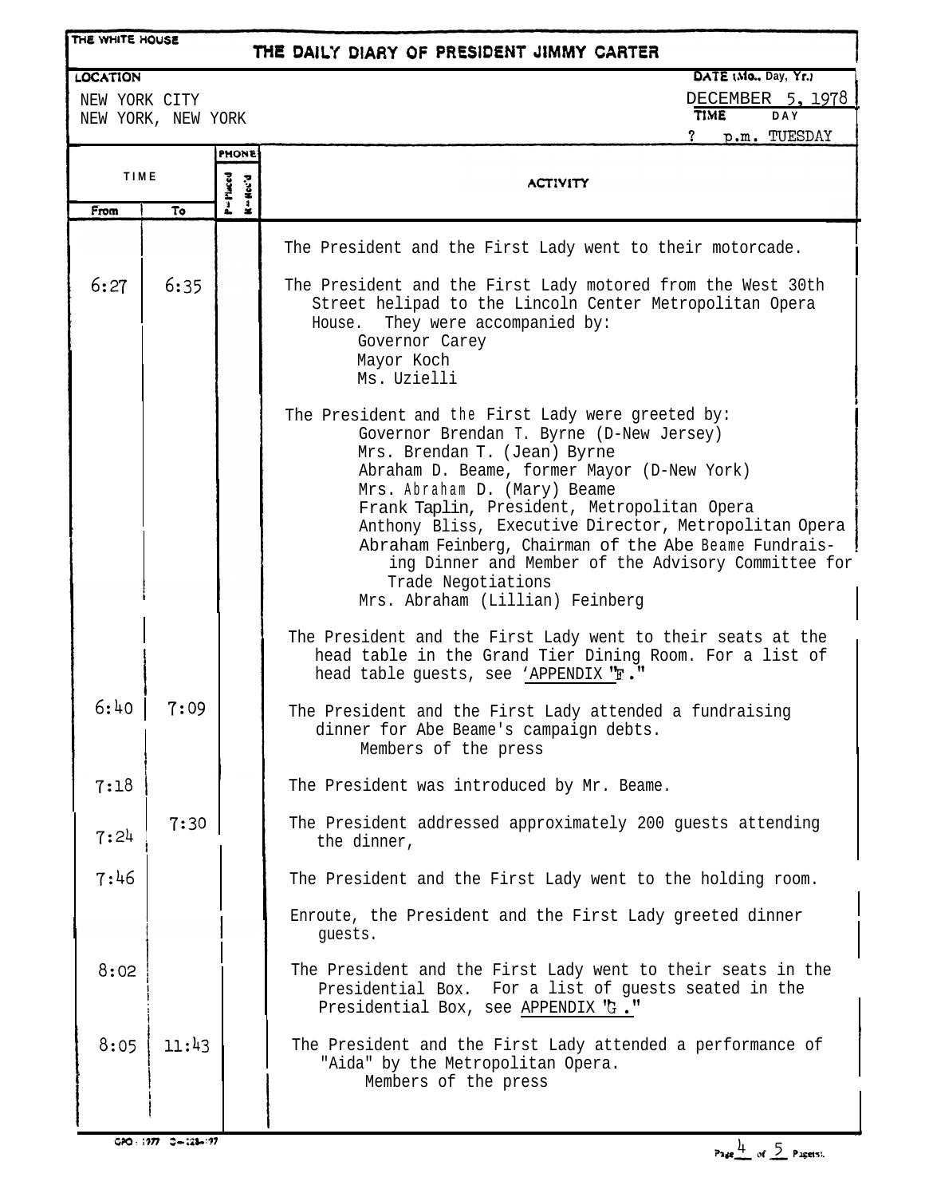| THE WHITE HOUSE                                        |       |                                    | THE DAILY DIARY OF PRESIDENT JIMMY CARTER                                                                                                                                                                                                                                                                                                                                                                                                                                                     |  |  |  |
|--------------------------------------------------------|-------|------------------------------------|-----------------------------------------------------------------------------------------------------------------------------------------------------------------------------------------------------------------------------------------------------------------------------------------------------------------------------------------------------------------------------------------------------------------------------------------------------------------------------------------------|--|--|--|
| <b>LOCATION</b><br>NEW YORK CITY<br>NEW YORK, NEW YORK |       |                                    | DATE (Mo., Day, Yr.)<br>DECEMBER 5, 1978<br>TIME<br><b>DAY</b><br>p.m. TUESDAY<br>?                                                                                                                                                                                                                                                                                                                                                                                                           |  |  |  |
| <b>TIME</b><br>To<br>From                              |       | <b>PHONE</b><br>P=Maced<br>K-Hec'd | <b>ACTIVITY</b>                                                                                                                                                                                                                                                                                                                                                                                                                                                                               |  |  |  |
|                                                        |       |                                    | The President and the First Lady went to their motorcade.                                                                                                                                                                                                                                                                                                                                                                                                                                     |  |  |  |
| 6:27                                                   | 6:35  |                                    | The President and the First Lady motored from the West 30th<br>Street helipad to the Lincoln Center Metropolitan Opera<br>They were accompanied by:<br>House.<br>Governor Carey<br>Mayor Koch<br>Ms. Uzielli                                                                                                                                                                                                                                                                                  |  |  |  |
|                                                        |       |                                    | The President and the First Lady were greeted by:<br>Governor Brendan T. Byrne (D-New Jersey)<br>Mrs. Brendan T. (Jean) Byrne<br>Abraham D. Beame, former Mayor (D-New York)<br>Mrs. Abraham D. (Mary) Beame<br>Frank Taplin, President, Metropolitan Opera<br>Anthony Bliss, Executive Director, Metropolitan Opera<br>Abraham Feinberg, Chairman of the Abe Beame Fundrais-<br>ing Dinner and Member of the Advisory Committee for<br>Trade Negotiations<br>Mrs. Abraham (Lillian) Feinberg |  |  |  |
|                                                        |       |                                    | The President and the First Lady went to their seats at the<br>head table in the Grand Tier Dining Room. For a list of<br>head table guests, see 'APPENDIX "F."                                                                                                                                                                                                                                                                                                                               |  |  |  |
| 6:40                                                   | 7:09  |                                    | The President and the First Lady attended a fundraising<br>dinner for Abe Beame's campaign debts.<br>Members of the press                                                                                                                                                                                                                                                                                                                                                                     |  |  |  |
| 7:18                                                   |       |                                    | The President was introduced by Mr. Beame.                                                                                                                                                                                                                                                                                                                                                                                                                                                    |  |  |  |
| 7:24                                                   | 7:30  |                                    | The President addressed approximately 200 guests attending<br>the dinner,                                                                                                                                                                                                                                                                                                                                                                                                                     |  |  |  |
| 7:46                                                   |       |                                    | The President and the First Lady went to the holding room.                                                                                                                                                                                                                                                                                                                                                                                                                                    |  |  |  |
|                                                        |       |                                    | Enroute, the President and the First Lady greeted dinner<br>guests.                                                                                                                                                                                                                                                                                                                                                                                                                           |  |  |  |
| 8:02                                                   |       |                                    | The President and the First Lady went to their seats in the<br>For a list of guests seated in the<br>Presidential Box.<br>Presidential Box, see APPENDIX "G."                                                                                                                                                                                                                                                                                                                                 |  |  |  |
| 8:05                                                   | 11:43 |                                    | The President and the First Lady attended a performance of<br>"Aida" by the Metropolitan Opera.<br>Members of the press                                                                                                                                                                                                                                                                                                                                                                       |  |  |  |
|                                                        |       |                                    |                                                                                                                                                                                                                                                                                                                                                                                                                                                                                               |  |  |  |